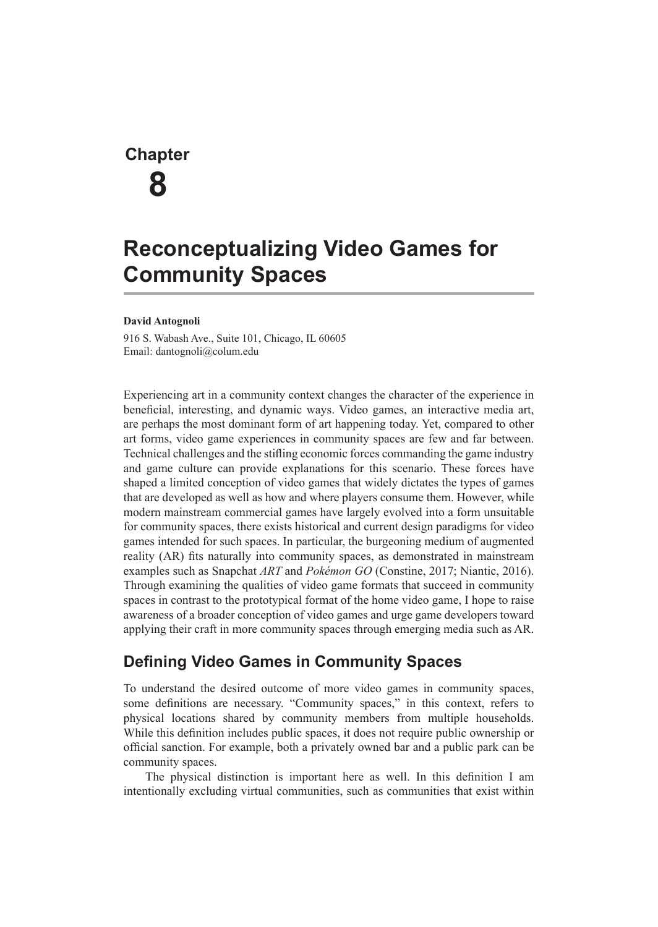# **Chapter 8**

# **Reconceptualizing Video Games for Community Spaces**

#### **David Antognoli**

916 S. Wabash Ave., Suite 101, Chicago, IL 60605 Email: dantognoli@colum.edu

Experiencing art in a community context changes the character of the experience in beneficial, interesting, and dynamic ways. Video games, an interactive media art, are perhaps the most dominant form of art happening today. Yet, compared to other art forms, video game experiences in community spaces are few and far between. Technical challenges and the stifling economic forces commanding the game industry and game culture can provide explanations for this scenario. These forces have shaped a limited conception of video games that widely dictates the types of games that are developed as well as how and where players consume them. However, while modern mainstream commercial games have largely evolved into a form unsuitable for community spaces, there exists historical and current design paradigms for video games intended for such spaces. In particular, the burgeoning medium of augmented reality (AR) fits naturally into community spaces, as demonstrated in mainstream examples such as Snapchat *ART* and *Pokémon GO* (Constine, 2017; Niantic, 2016). Through examining the qualities of video game formats that succeed in community spaces in contrast to the prototypical format of the home video game, I hope to raise awareness of a broader conception of video games and urge game developers toward applying their craft in more community spaces through emerging media such as AR.

# **Defining Video Games in Community Spaces**

To understand the desired outcome of more video games in community spaces, some definitions are necessary. "Community spaces," in this context, refers to physical locations shared by community members from multiple households. While this definition includes public spaces, it does not require public ownership or official sanction. For example, both a privately owned bar and a public park can be community spaces.

The physical distinction is important here as well. In this definition I am intentionally excluding virtual communities, such as communities that exist within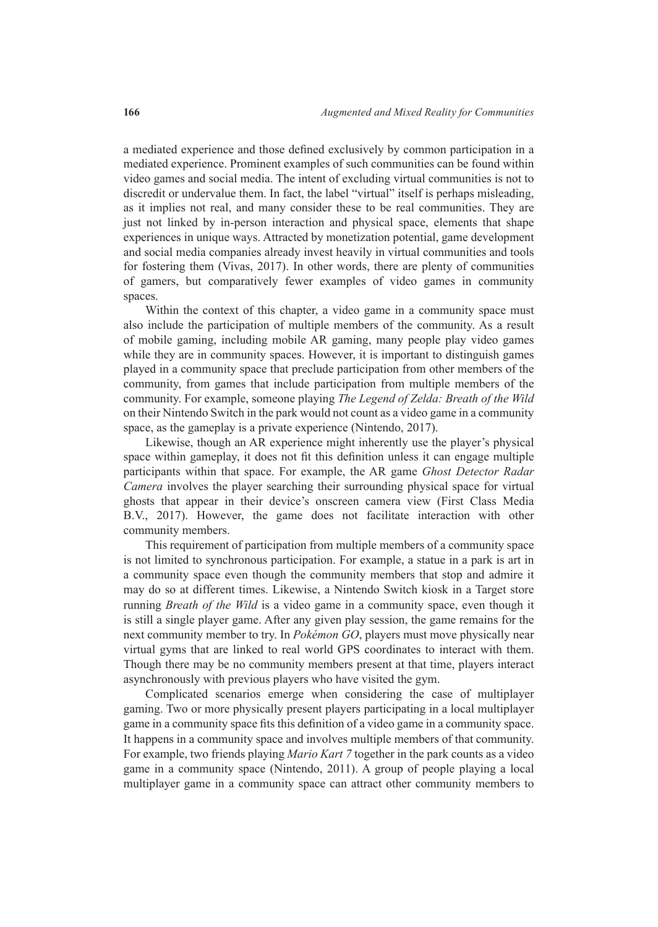a mediated experience and those defined exclusively by common participation in a mediated experience. Prominent examples of such communities can be found within video games and social media. The intent of excluding virtual communities is not to discredit or undervalue them. In fact, the label "virtual" itself is perhaps misleading, as it implies not real, and many consider these to be real communities. They are just not linked by in-person interaction and physical space, elements that shape experiences in unique ways. Attracted by monetization potential, game development and social media companies already invest heavily in virtual communities and tools for fostering them (Vivas, 2017). In other words, there are plenty of communities of gamers, but comparatively fewer examples of video games in community spaces.

Within the context of this chapter, a video game in a community space must also include the participation of multiple members of the community. As a result of mobile gaming, including mobile AR gaming, many people play video games while they are in community spaces. However, it is important to distinguish games played in a community space that preclude participation from other members of the community, from games that include participation from multiple members of the community. For example, someone playing *The Legend of Zelda: Breath of the Wild*  on their Nintendo Switch in the park would not count as a video game in a community space, as the gameplay is a private experience (Nintendo, 2017).

Likewise, though an AR experience might inherently use the player's physical space within gameplay, it does not fit this definition unless it can engage multiple participants within that space. For example, the AR game *Ghost Detector Radar Camera* involves the player searching their surrounding physical space for virtual ghosts that appear in their device's onscreen camera view (First Class Media B.V., 2017). However, the game does not facilitate interaction with other community members.

This requirement of participation from multiple members of a community space is not limited to synchronous participation. For example, a statue in a park is art in a community space even though the community members that stop and admire it may do so at different times. Likewise, a Nintendo Switch kiosk in a Target store running *Breath of the Wild* is a video game in a community space, even though it is still a single player game. After any given play session, the game remains for the next community member to try. In *Pokémon GO*, players must move physically near virtual gyms that are linked to real world GPS coordinates to interact with them. Though there may be no community members present at that time, players interact asynchronously with previous players who have visited the gym.

Complicated scenarios emerge when considering the case of multiplayer gaming. Two or more physically present players participating in a local multiplayer game in a community space fits this definition of a video game in a community space. It happens in a community space and involves multiple members of that community. For example, two friends playing *Mario Kart 7* together in the park counts as a video game in a community space (Nintendo, 2011). A group of people playing a local multiplayer game in a community space can attract other community members to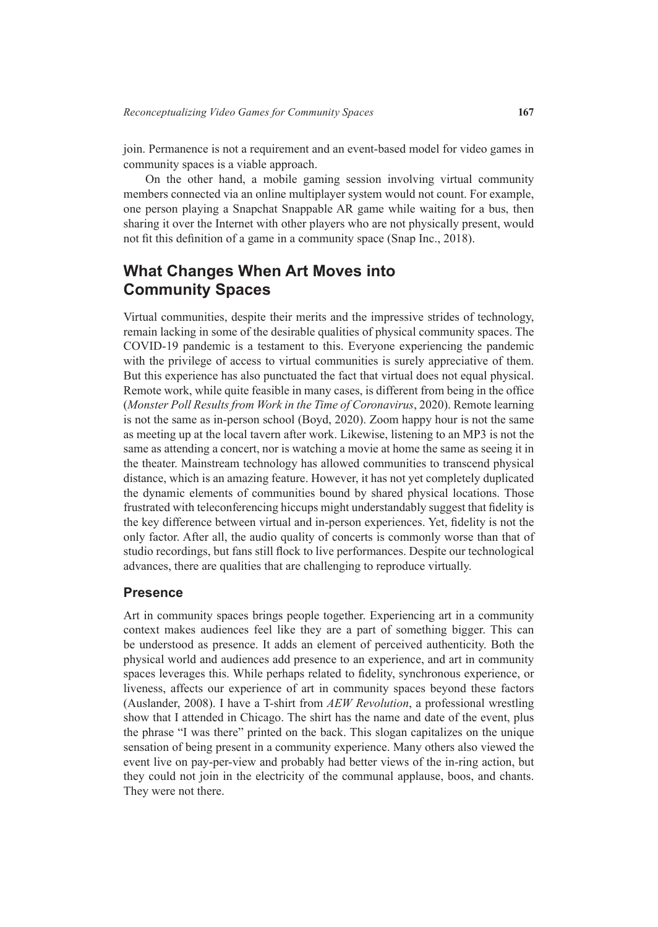join. Permanence is not a requirement and an event-based model for video games in community spaces is a viable approach.

On the other hand, a mobile gaming session involving virtual community members connected via an online multiplayer system would not count. For example, one person playing a Snapchat Snappable AR game while waiting for a bus, then sharing it over the Internet with other players who are not physically present, would not fit this definition of a game in a community space (Snap Inc., 2018).

# **What Changes When Art Moves into Community Spaces**

Virtual communities, despite their merits and the impressive strides of technology, remain lacking in some of the desirable qualities of physical community spaces. The COVID-19 pandemic is a testament to this. Everyone experiencing the pandemic with the privilege of access to virtual communities is surely appreciative of them. But this experience has also punctuated the fact that virtual does not equal physical. Remote work, while quite feasible in many cases, is different from being in the office (*Monster Poll Results from Work in the Time of Coronavirus*, 2020). Remote learning is not the same as in-person school (Boyd, 2020). Zoom happy hour is not the same as meeting up at the local tavern after work. Likewise, listening to an MP3 is not the same as attending a concert, nor is watching a movie at home the same as seeing it in the theater. Mainstream technology has allowed communities to transcend physical distance, which is an amazing feature. However, it has not yet completely duplicated the dynamic elements of communities bound by shared physical locations. Those frustrated with teleconferencing hiccups might understandably suggest that fidelity is the key difference between virtual and in-person experiences. Yet, fidelity is not the only factor. After all, the audio quality of concerts is commonly worse than that of studio recordings, but fans still flock to live performances. Despite our technological advances, there are qualities that are challenging to reproduce virtually.

#### **Presence**

Art in community spaces brings people together. Experiencing art in a community context makes audiences feel like they are a part of something bigger. This can be understood as presence. It adds an element of perceived authenticity. Both the physical world and audiences add presence to an experience, and art in community spaces leverages this. While perhaps related to fidelity, synchronous experience, or liveness, affects our experience of art in community spaces beyond these factors (Auslander, 2008). I have a T-shirt from *AEW Revolution*, a professional wrestling show that I attended in Chicago. The shirt has the name and date of the event, plus the phrase "I was there" printed on the back. This slogan capitalizes on the unique sensation of being present in a community experience. Many others also viewed the event live on pay-per-view and probably had better views of the in-ring action, but they could not join in the electricity of the communal applause, boos, and chants. They were not there.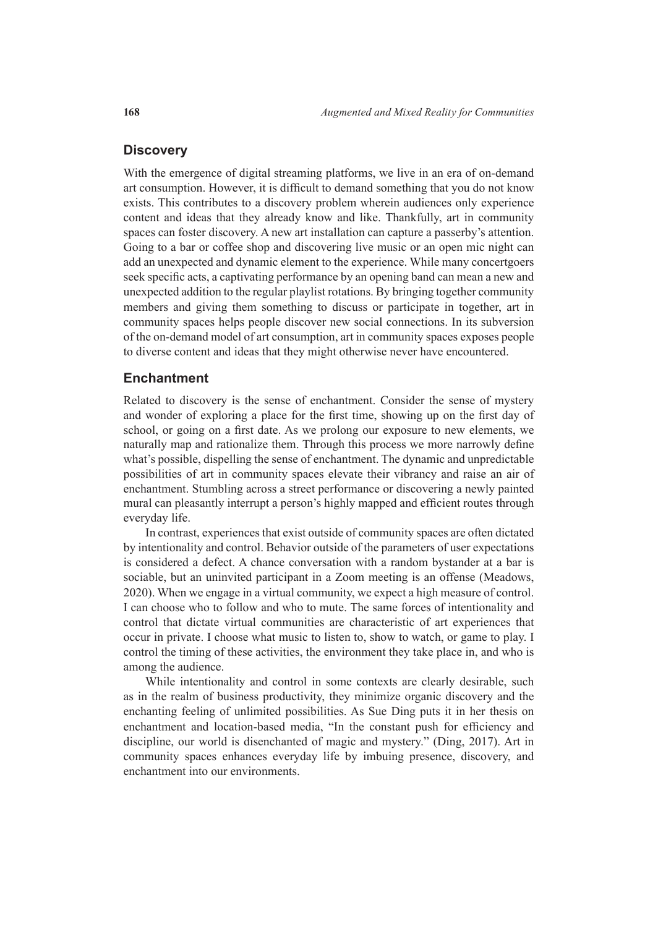## **Discovery**

With the emergence of digital streaming platforms, we live in an era of on-demand art consumption. However, it is difficult to demand something that you do not know exists. This contributes to a discovery problem wherein audiences only experience content and ideas that they already know and like. Thankfully, art in community spaces can foster discovery. A new art installation can capture a passerby's attention. Going to a bar or coffee shop and discovering live music or an open mic night can add an unexpected and dynamic element to the experience. While many concertgoers seek specific acts, a captivating performance by an opening band can mean a new and unexpected addition to the regular playlist rotations. By bringing together community members and giving them something to discuss or participate in together, art in community spaces helps people discover new social connections. In its subversion of the on-demand model of art consumption, art in community spaces exposes people to diverse content and ideas that they might otherwise never have encountered.

# **Enchantment**

Related to discovery is the sense of enchantment. Consider the sense of mystery and wonder of exploring a place for the first time, showing up on the first day of school, or going on a first date. As we prolong our exposure to new elements, we naturally map and rationalize them. Through this process we more narrowly define what's possible, dispelling the sense of enchantment. The dynamic and unpredictable possibilities of art in community spaces elevate their vibrancy and raise an air of enchantment. Stumbling across a street performance or discovering a newly painted mural can pleasantly interrupt a person's highly mapped and efficient routes through everyday life.

In contrast, experiences that exist outside of community spaces are often dictated by intentionality and control. Behavior outside of the parameters of user expectations is considered a defect. A chance conversation with a random bystander at a bar is sociable, but an uninvited participant in a Zoom meeting is an offense (Meadows, 2020). When we engage in a virtual community, we expect a high measure of control. I can choose who to follow and who to mute. The same forces of intentionality and control that dictate virtual communities are characteristic of art experiences that occur in private. I choose what music to listen to, show to watch, or game to play. I control the timing of these activities, the environment they take place in, and who is among the audience.

While intentionality and control in some contexts are clearly desirable, such as in the realm of business productivity, they minimize organic discovery and the enchanting feeling of unlimited possibilities. As Sue Ding puts it in her thesis on enchantment and location-based media, "In the constant push for efficiency and discipline, our world is disenchanted of magic and mystery." (Ding, 2017). Art in community spaces enhances everyday life by imbuing presence, discovery, and enchantment into our environments.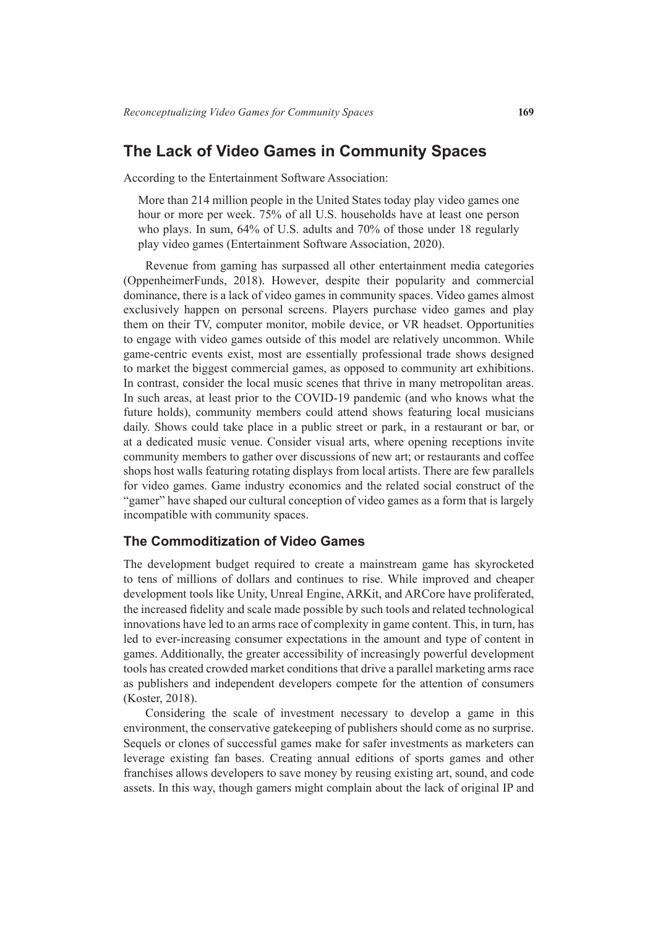# **The Lack of Video Games in Community Spaces**

According to the Entertainment Software Association:

More than 214 million people in the United States today play video games one hour or more per week. 75% of all U.S. households have at least one person who plays. In sum, 64% of U.S. adults and 70% of those under 18 regularly play video games (Entertainment Software Association, 2020).

Revenue from gaming has surpassed all other entertainment media categories (OppenheimerFunds, 2018). However, despite their popularity and commercial dominance, there is a lack of video games in community spaces. Video games almost exclusively happen on personal screens. Players purchase video games and play them on their TV, computer monitor, mobile device, or VR headset. Opportunities to engage with video games outside of this model are relatively uncommon. While game-centric events exist, most are essentially professional trade shows designed to market the biggest commercial games, as opposed to community art exhibitions. In contrast, consider the local music scenes that thrive in many metropolitan areas. In such areas, at least prior to the COVID-19 pandemic (and who knows what the future holds), community members could attend shows featuring local musicians daily. Shows could take place in a public street or park, in a restaurant or bar, or at a dedicated music venue. Consider visual arts, where opening receptions invite community members to gather over discussions of new art; or restaurants and coffee shops host walls featuring rotating displays from local artists. There are few parallels for video games. Game industry economics and the related social construct of the "gamer" have shaped our cultural conception of video games as a form that is largely incompatible with community spaces.

# **The Commoditization of Video Games**

The development budget required to create a mainstream game has skyrocketed to tens of millions of dollars and continues to rise. While improved and cheaper development tools like Unity, Unreal Engine, ARKit, and ARCore have proliferated, the increased fidelity and scale made possible by such tools and related technological innovations have led to an arms race of complexity in game content. This, in turn, has led to ever-increasing consumer expectations in the amount and type of content in games. Additionally, the greater accessibility of increasingly powerful development tools has created crowded market conditions that drive a parallel marketing arms race as publishers and independent developers compete for the attention of consumers (Koster, 2018).

Considering the scale of investment necessary to develop a game in this environment, the conservative gatekeeping of publishers should come as no surprise. Sequels or clones of successful games make for safer investments as marketers can leverage existing fan bases. Creating annual editions of sports games and other franchises allows developers to save money by reusing existing art, sound, and code assets. In this way, though gamers might complain about the lack of original IP and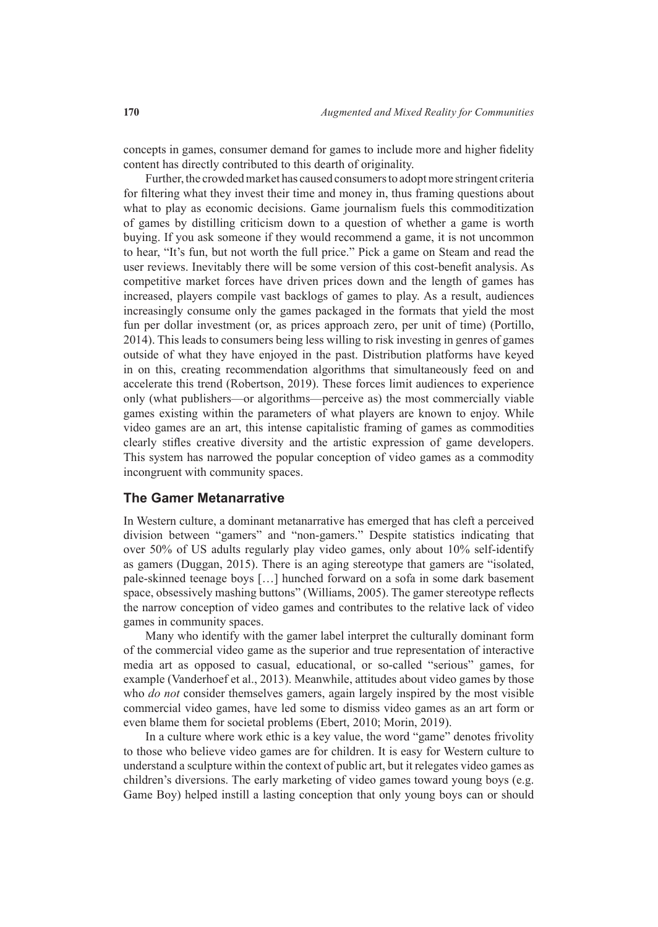concepts in games, consumer demand for games to include more and higher fidelity content has directly contributed to this dearth of originality.

Further, the crowded market has caused consumers to adopt more stringent criteria for filtering what they invest their time and money in, thus framing questions about what to play as economic decisions. Game journalism fuels this commoditization of games by distilling criticism down to a question of whether a game is worth buying. If you ask someone if they would recommend a game, it is not uncommon to hear, "It's fun, but not worth the full price." Pick a game on Steam and read the user reviews. Inevitably there will be some version of this cost-benefit analysis. As competitive market forces have driven prices down and the length of games has increased, players compile vast backlogs of games to play. As a result, audiences increasingly consume only the games packaged in the formats that yield the most fun per dollar investment (or, as prices approach zero, per unit of time) (Portillo, 2014). This leads to consumers being less willing to risk investing in genres of games outside of what they have enjoyed in the past. Distribution platforms have keyed in on this, creating recommendation algorithms that simultaneously feed on and accelerate this trend (Robertson, 2019). These forces limit audiences to experience only (what publishers—or algorithms—perceive as) the most commercially viable games existing within the parameters of what players are known to enjoy. While video games are an art, this intense capitalistic framing of games as commodities clearly stifles creative diversity and the artistic expression of game developers. This system has narrowed the popular conception of video games as a commodity incongruent with community spaces.

# **The Gamer Metanarrative**

In Western culture, a dominant metanarrative has emerged that has cleft a perceived division between "gamers" and "non-gamers." Despite statistics indicating that over 50% of US adults regularly play video games, only about 10% self-identify as gamers (Duggan, 2015). There is an aging stereotype that gamers are "isolated, pale-skinned teenage boys […] hunched forward on a sofa in some dark basement space, obsessively mashing buttons" (Williams, 2005). The gamer stereotype reflects the narrow conception of video games and contributes to the relative lack of video games in community spaces.

Many who identify with the gamer label interpret the culturally dominant form of the commercial video game as the superior and true representation of interactive media art as opposed to casual, educational, or so-called "serious" games, for example (Vanderhoef et al., 2013). Meanwhile, attitudes about video games by those who *do not* consider themselves gamers, again largely inspired by the most visible commercial video games, have led some to dismiss video games as an art form or even blame them for societal problems (Ebert, 2010; Morin, 2019).

In a culture where work ethic is a key value, the word "game" denotes frivolity to those who believe video games are for children. It is easy for Western culture to understand a sculpture within the context of public art, but it relegates video games as children's diversions. The early marketing of video games toward young boys (e.g. Game Boy) helped instill a lasting conception that only young boys can or should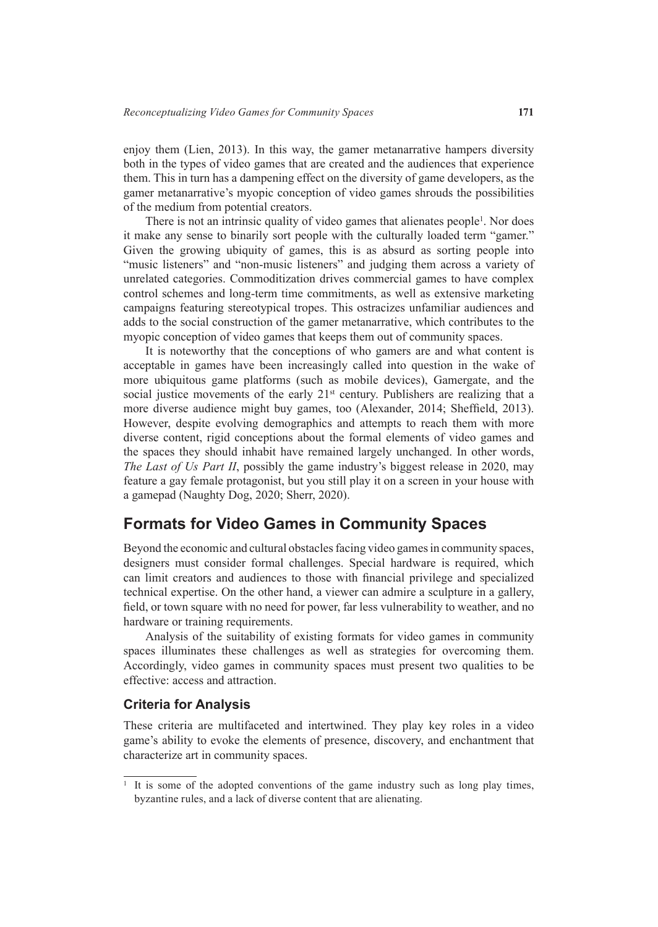enjoy them (Lien, 2013). In this way, the gamer metanarrative hampers diversity both in the types of video games that are created and the audiences that experience them. This in turn has a dampening effect on the diversity of game developers, as the gamer metanarrative's myopic conception of video games shrouds the possibilities of the medium from potential creators.

There is not an intrinsic quality of video games that alienates people<sup>1</sup>. Nor does it make any sense to binarily sort people with the culturally loaded term "gamer." Given the growing ubiquity of games, this is as absurd as sorting people into "music listeners" and "non-music listeners" and judging them across a variety of unrelated categories. Commoditization drives commercial games to have complex control schemes and long-term time commitments, as well as extensive marketing campaigns featuring stereotypical tropes. This ostracizes unfamiliar audiences and adds to the social construction of the gamer metanarrative, which contributes to the myopic conception of video games that keeps them out of community spaces.

It is noteworthy that the conceptions of who gamers are and what content is acceptable in games have been increasingly called into question in the wake of more ubiquitous game platforms (such as mobile devices), Gamergate, and the social justice movements of the early 21<sup>st</sup> century. Publishers are realizing that a more diverse audience might buy games, too (Alexander, 2014; Sheffield, 2013). However, despite evolving demographics and attempts to reach them with more diverse content, rigid conceptions about the formal elements of video games and the spaces they should inhabit have remained largely unchanged. In other words, *The Last of Us Part II*, possibly the game industry's biggest release in 2020, may feature a gay female protagonist, but you still play it on a screen in your house with a gamepad (Naughty Dog, 2020; Sherr, 2020).

# **Formats for Video Games in Community Spaces**

Beyond the economic and cultural obstacles facing video games in community spaces, designers must consider formal challenges. Special hardware is required, which can limit creators and audiences to those with financial privilege and specialized technical expertise. On the other hand, a viewer can admire a sculpture in a gallery, field, or town square with no need for power, far less vulnerability to weather, and no hardware or training requirements.

Analysis of the suitability of existing formats for video games in community spaces illuminates these challenges as well as strategies for overcoming them. Accordingly, video games in community spaces must present two qualities to be effective: access and attraction.

## **Criteria for Analysis**

These criteria are multifaceted and intertwined. They play key roles in a video game's ability to evoke the elements of presence, discovery, and enchantment that characterize art in community spaces.

 $1$  It is some of the adopted conventions of the game industry such as long play times, byzantine rules, and a lack of diverse content that are alienating.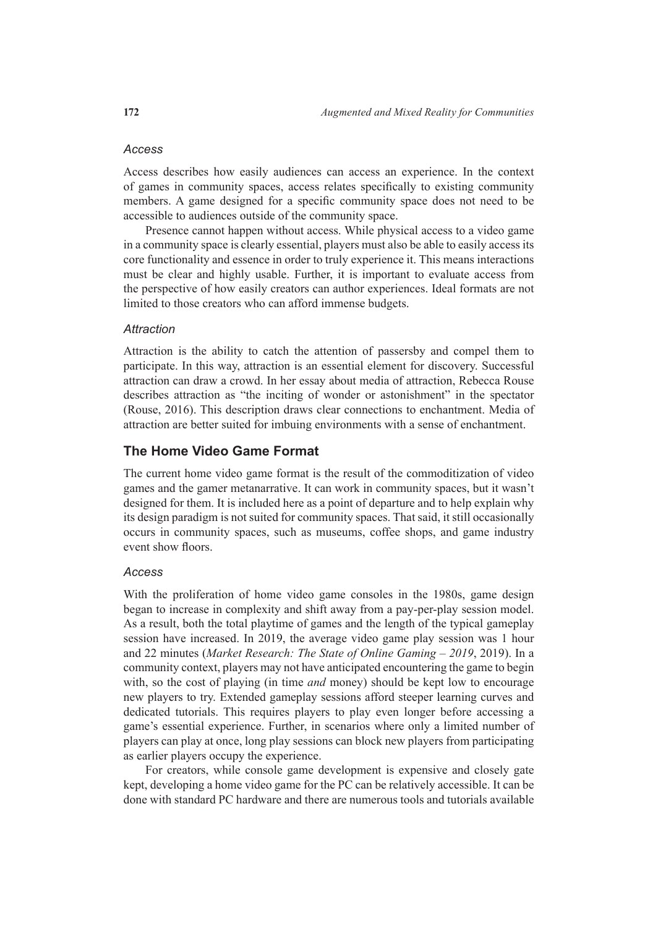#### *Access*

Access describes how easily audiences can access an experience. In the context of games in community spaces, access relates specifically to existing community members. A game designed for a specific community space does not need to be accessible to audiences outside of the community space.

Presence cannot happen without access. While physical access to a video game in a community space is clearly essential, players must also be able to easily access its core functionality and essence in order to truly experience it. This means interactions must be clear and highly usable. Further, it is important to evaluate access from the perspective of how easily creators can author experiences. Ideal formats are not limited to those creators who can afford immense budgets.

#### *Attraction*

Attraction is the ability to catch the attention of passersby and compel them to participate. In this way, attraction is an essential element for discovery. Successful attraction can draw a crowd. In her essay about media of attraction, Rebecca Rouse describes attraction as "the inciting of wonder or astonishment" in the spectator (Rouse, 2016). This description draws clear connections to enchantment. Media of attraction are better suited for imbuing environments with a sense of enchantment.

## **The Home Video Game Format**

The current home video game format is the result of the commoditization of video games and the gamer metanarrative. It can work in community spaces, but it wasn't designed for them. It is included here as a point of departure and to help explain why its design paradigm is not suited for community spaces. That said, it still occasionally occurs in community spaces, such as museums, coffee shops, and game industry event show floors.

#### *Access*

With the proliferation of home video game consoles in the 1980s, game design began to increase in complexity and shift away from a pay-per-play session model. As a result, both the total playtime of games and the length of the typical gameplay session have increased. In 2019, the average video game play session was 1 hour and 22 minutes (*Market Research: The State of Online Gaming – 2019*, 2019). In a community context, players may not have anticipated encountering the game to begin with, so the cost of playing (in time *and* money) should be kept low to encourage new players to try. Extended gameplay sessions afford steeper learning curves and dedicated tutorials. This requires players to play even longer before accessing a game's essential experience. Further, in scenarios where only a limited number of players can play at once, long play sessions can block new players from participating as earlier players occupy the experience.

For creators, while console game development is expensive and closely gate kept, developing a home video game for the PC can be relatively accessible. It can be done with standard PC hardware and there are numerous tools and tutorials available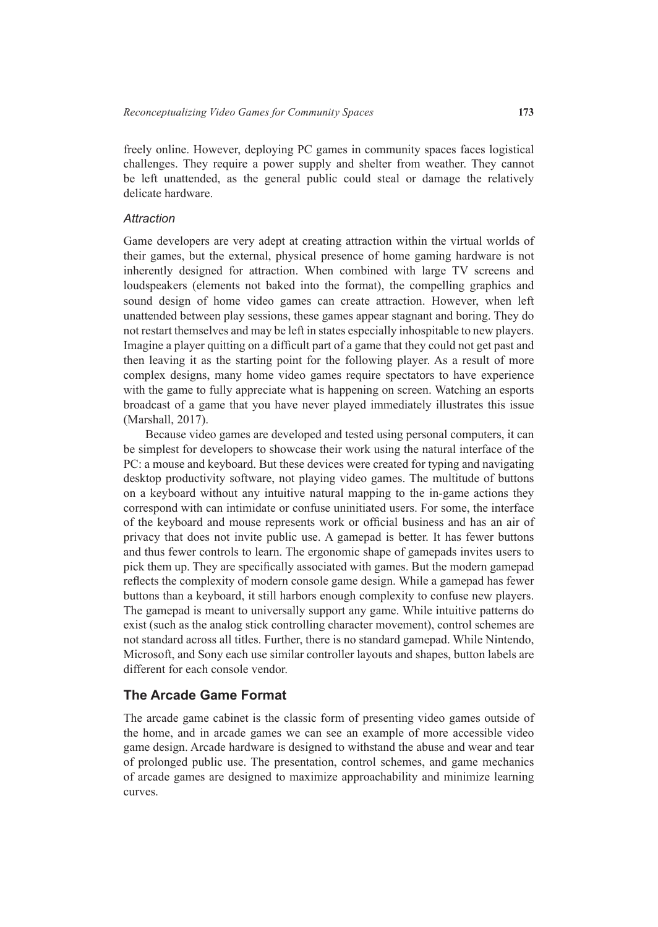freely online. However, deploying PC games in community spaces faces logistical challenges. They require a power supply and shelter from weather. They cannot be left unattended, as the general public could steal or damage the relatively delicate hardware.

## *Attraction*

Game developers are very adept at creating attraction within the virtual worlds of their games, but the external, physical presence of home gaming hardware is not inherently designed for attraction. When combined with large TV screens and loudspeakers (elements not baked into the format), the compelling graphics and sound design of home video games can create attraction. However, when left unattended between play sessions, these games appear stagnant and boring. They do not restart themselves and may be left in states especially inhospitable to new players. Imagine a player quitting on a difficult part of a game that they could not get past and then leaving it as the starting point for the following player. As a result of more complex designs, many home video games require spectators to have experience with the game to fully appreciate what is happening on screen. Watching an esports broadcast of a game that you have never played immediately illustrates this issue (Marshall, 2017).

Because video games are developed and tested using personal computers, it can be simplest for developers to showcase their work using the natural interface of the PC: a mouse and keyboard. But these devices were created for typing and navigating desktop productivity software, not playing video games. The multitude of buttons on a keyboard without any intuitive natural mapping to the in-game actions they correspond with can intimidate or confuse uninitiated users. For some, the interface of the keyboard and mouse represents work or official business and has an air of privacy that does not invite public use. A gamepad is better. It has fewer buttons and thus fewer controls to learn. The ergonomic shape of gamepads invites users to pick them up. They are specifically associated with games. But the modern gamepad reflects the complexity of modern console game design. While a gamepad has fewer buttons than a keyboard, it still harbors enough complexity to confuse new players. The gamepad is meant to universally support any game. While intuitive patterns do exist (such as the analog stick controlling character movement), control schemes are not standard across all titles. Further, there is no standard gamepad. While Nintendo, Microsoft, and Sony each use similar controller layouts and shapes, button labels are different for each console vendor.

## **The Arcade Game Format**

The arcade game cabinet is the classic form of presenting video games outside of the home, and in arcade games we can see an example of more accessible video game design. Arcade hardware is designed to withstand the abuse and wear and tear of prolonged public use. The presentation, control schemes, and game mechanics of arcade games are designed to maximize approachability and minimize learning curves.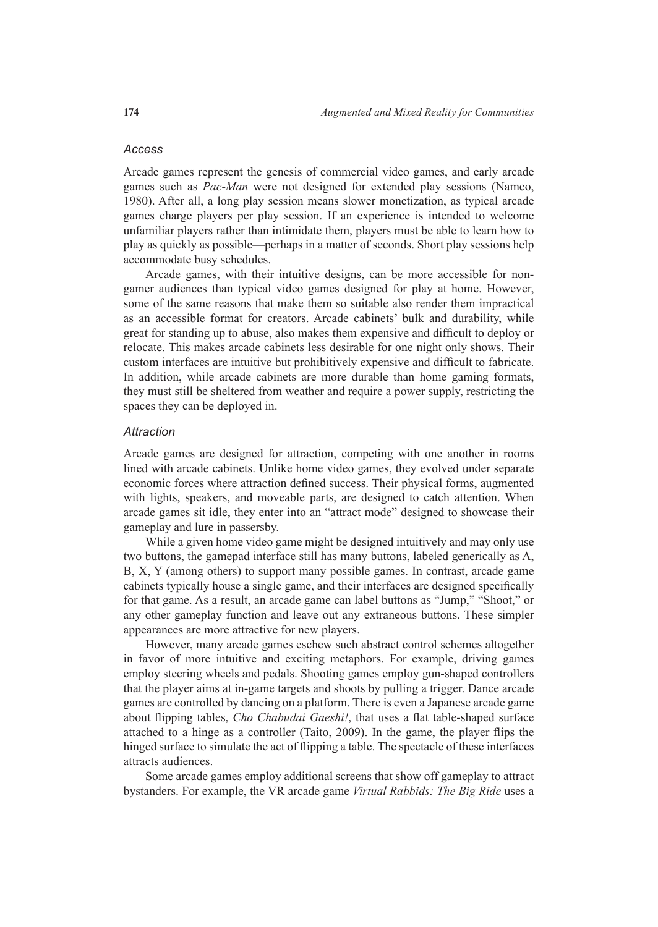#### *Access*

Arcade games represent the genesis of commercial video games, and early arcade games such as *Pac-Man* were not designed for extended play sessions (Namco, 1980). After all, a long play session means slower monetization, as typical arcade games charge players per play session. If an experience is intended to welcome unfamiliar players rather than intimidate them, players must be able to learn how to play as quickly as possible—perhaps in a matter of seconds. Short play sessions help accommodate busy schedules.

Arcade games, with their intuitive designs, can be more accessible for nongamer audiences than typical video games designed for play at home. However, some of the same reasons that make them so suitable also render them impractical as an accessible format for creators. Arcade cabinets' bulk and durability, while great for standing up to abuse, also makes them expensive and difficult to deploy or relocate. This makes arcade cabinets less desirable for one night only shows. Their custom interfaces are intuitive but prohibitively expensive and difficult to fabricate. In addition, while arcade cabinets are more durable than home gaming formats, they must still be sheltered from weather and require a power supply, restricting the spaces they can be deployed in.

#### *Attraction*

Arcade games are designed for attraction, competing with one another in rooms lined with arcade cabinets. Unlike home video games, they evolved under separate economic forces where attraction defined success. Their physical forms, augmented with lights, speakers, and moveable parts, are designed to catch attention. When arcade games sit idle, they enter into an "attract mode" designed to showcase their gameplay and lure in passersby.

While a given home video game might be designed intuitively and may only use two buttons, the gamepad interface still has many buttons, labeled generically as A, B, X, Y (among others) to support many possible games. In contrast, arcade game cabinets typically house a single game, and their interfaces are designed specifically for that game. As a result, an arcade game can label buttons as "Jump," "Shoot," or any other gameplay function and leave out any extraneous buttons. These simpler appearances are more attractive for new players.

However, many arcade games eschew such abstract control schemes altogether in favor of more intuitive and exciting metaphors. For example, driving games employ steering wheels and pedals. Shooting games employ gun-shaped controllers that the player aims at in-game targets and shoots by pulling a trigger. Dance arcade games are controlled by dancing on a platform. There is even a Japanese arcade game about flipping tables, *Cho Chabudai Gaeshi!*, that uses a flat table-shaped surface attached to a hinge as a controller (Taito, 2009). In the game, the player flips the hinged surface to simulate the act of flipping a table. The spectacle of these interfaces attracts audiences.

Some arcade games employ additional screens that show off gameplay to attract bystanders. For example, the VR arcade game *Virtual Rabbids: The Big Ride* uses a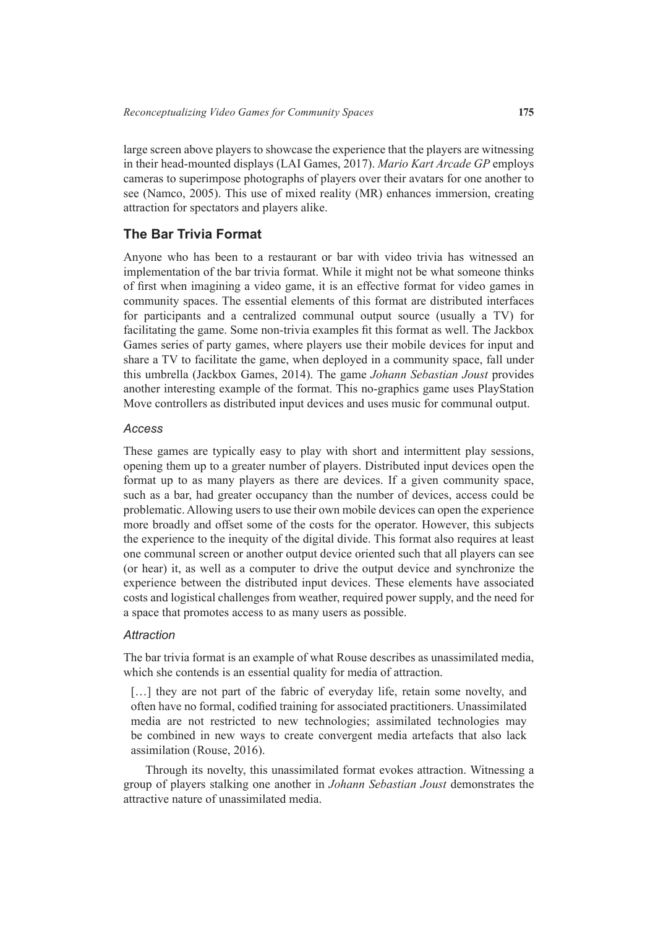large screen above players to showcase the experience that the players are witnessing in their head-mounted displays (LAI Games, 2017). *Mario Kart Arcade GP* employs cameras to superimpose photographs of players over their avatars for one another to see (Namco, 2005). This use of mixed reality (MR) enhances immersion, creating attraction for spectators and players alike.

# **The Bar Trivia Format**

Anyone who has been to a restaurant or bar with video trivia has witnessed an implementation of the bar trivia format. While it might not be what someone thinks of first when imagining a video game, it is an effective format for video games in community spaces. The essential elements of this format are distributed interfaces for participants and a centralized communal output source (usually a TV) for facilitating the game. Some non-trivia examples fit this format as well. The Jackbox Games series of party games, where players use their mobile devices for input and share a TV to facilitate the game, when deployed in a community space, fall under this umbrella (Jackbox Games, 2014). The game *Johann Sebastian Joust* provides another interesting example of the format. This no-graphics game uses PlayStation Move controllers as distributed input devices and uses music for communal output.

#### *Access*

These games are typically easy to play with short and intermittent play sessions, opening them up to a greater number of players. Distributed input devices open the format up to as many players as there are devices. If a given community space, such as a bar, had greater occupancy than the number of devices, access could be problematic. Allowing users to use their own mobile devices can open the experience more broadly and offset some of the costs for the operator. However, this subjects the experience to the inequity of the digital divide. This format also requires at least one communal screen or another output device oriented such that all players can see (or hear) it, as well as a computer to drive the output device and synchronize the experience between the distributed input devices. These elements have associated costs and logistical challenges from weather, required power supply, and the need for a space that promotes access to as many users as possible.

# *Attraction*

The bar trivia format is an example of what Rouse describes as unassimilated media, which she contends is an essential quality for media of attraction.

[...] they are not part of the fabric of everyday life, retain some novelty, and often have no formal, codified training for associated practitioners. Unassimilated media are not restricted to new technologies; assimilated technologies may be combined in new ways to create convergent media artefacts that also lack assimilation (Rouse, 2016).

Through its novelty, this unassimilated format evokes attraction. Witnessing a group of players stalking one another in *Johann Sebastian Joust* demonstrates the attractive nature of unassimilated media.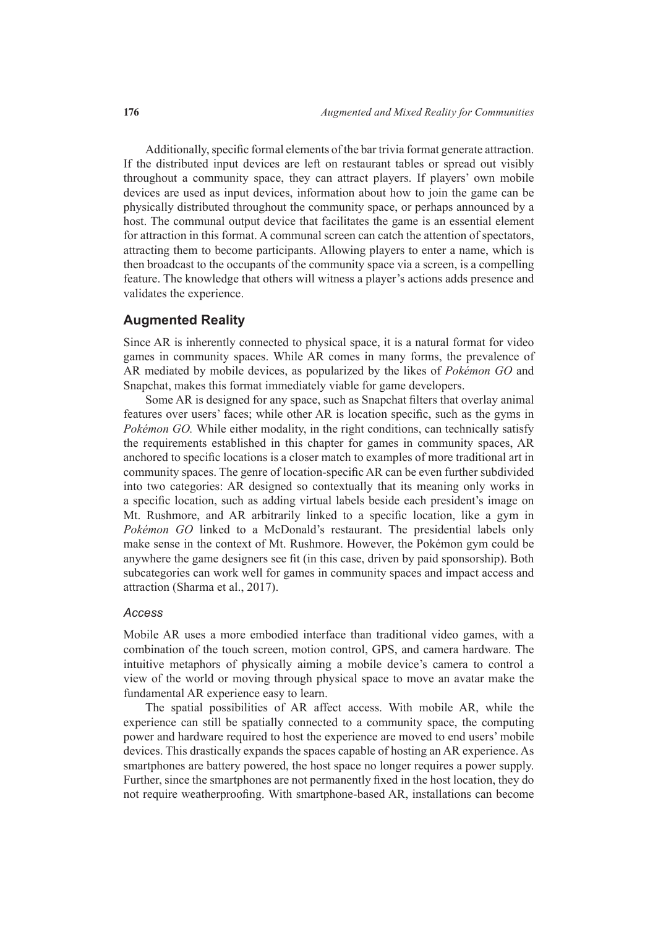Additionally, specific formal elements of the bar trivia format generate attraction. If the distributed input devices are left on restaurant tables or spread out visibly throughout a community space, they can attract players. If players' own mobile devices are used as input devices, information about how to join the game can be physically distributed throughout the community space, or perhaps announced by a host. The communal output device that facilitates the game is an essential element for attraction in this format. A communal screen can catch the attention of spectators, attracting them to become participants. Allowing players to enter a name, which is then broadcast to the occupants of the community space via a screen, is a compelling feature. The knowledge that others will witness a player's actions adds presence and validates the experience.

#### **Augmented Reality**

Since AR is inherently connected to physical space, it is a natural format for video games in community spaces. While AR comes in many forms, the prevalence of AR mediated by mobile devices, as popularized by the likes of *Pokémon GO* and Snapchat, makes this format immediately viable for game developers.

Some AR is designed for any space, such as Snapchat filters that overlay animal features over users' faces; while other AR is location specific, such as the gyms in *Pokémon GO.* While either modality, in the right conditions, can technically satisfy the requirements established in this chapter for games in community spaces, AR anchored to specific locations is a closer match to examples of more traditional art in community spaces. The genre of location-specific AR can be even further subdivided into two categories: AR designed so contextually that its meaning only works in a specific location, such as adding virtual labels beside each president's image on Mt. Rushmore, and AR arbitrarily linked to a specific location, like a gym in *Pokémon GO* linked to a McDonald's restaurant. The presidential labels only make sense in the context of Mt. Rushmore. However, the Pokémon gym could be anywhere the game designers see fit (in this case, driven by paid sponsorship). Both subcategories can work well for games in community spaces and impact access and attraction (Sharma et al., 2017).

#### *Access*

Mobile AR uses a more embodied interface than traditional video games, with a combination of the touch screen, motion control, GPS, and camera hardware. The intuitive metaphors of physically aiming a mobile device's camera to control a view of the world or moving through physical space to move an avatar make the fundamental AR experience easy to learn.

The spatial possibilities of AR affect access. With mobile AR, while the experience can still be spatially connected to a community space, the computing power and hardware required to host the experience are moved to end users' mobile devices. This drastically expands the spaces capable of hosting an AR experience. As smartphones are battery powered, the host space no longer requires a power supply. Further, since the smartphones are not permanently fixed in the host location, they do not require weatherproofing. With smartphone-based AR, installations can become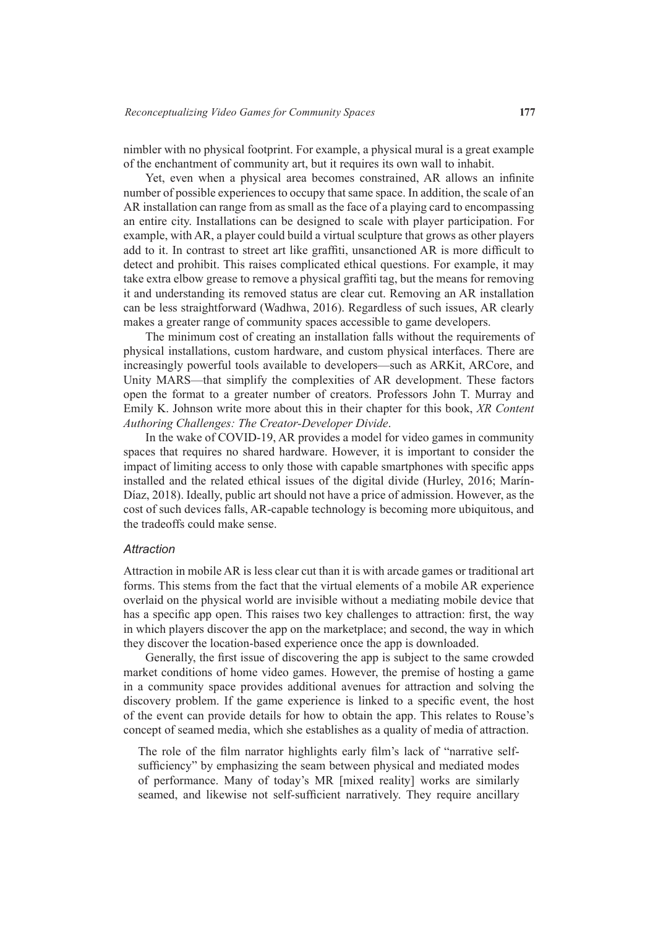nimbler with no physical footprint. For example, a physical mural is a great example of the enchantment of community art, but it requires its own wall to inhabit.

Yet, even when a physical area becomes constrained, AR allows an infinite number of possible experiences to occupy that same space. In addition, the scale of an AR installation can range from as small as the face of a playing card to encompassing an entire city. Installations can be designed to scale with player participation. For example, with AR, a player could build a virtual sculpture that grows as other players add to it. In contrast to street art like graffiti, unsanctioned AR is more difficult to detect and prohibit. This raises complicated ethical questions. For example, it may take extra elbow grease to remove a physical graffiti tag, but the means for removing it and understanding its removed status are clear cut. Removing an AR installation can be less straightforward (Wadhwa, 2016). Regardless of such issues, AR clearly makes a greater range of community spaces accessible to game developers.

The minimum cost of creating an installation falls without the requirements of physical installations, custom hardware, and custom physical interfaces. There are increasingly powerful tools available to developers—such as ARKit, ARCore, and Unity MARS—that simplify the complexities of AR development. These factors open the format to a greater number of creators. Professors John T. Murray and Emily K. Johnson write more about this in their chapter for this book, *XR Content Authoring Challenges: The Creator-Developer Divide*.

In the wake of COVID-19, AR provides a model for video games in community spaces that requires no shared hardware. However, it is important to consider the impact of limiting access to only those with capable smartphones with specific apps installed and the related ethical issues of the digital divide (Hurley, 2016; Marín-Díaz, 2018). Ideally, public art should not have a price of admission. However, as the cost of such devices falls, AR-capable technology is becoming more ubiquitous, and the tradeoffs could make sense.

#### *Attraction*

Attraction in mobile AR is less clear cut than it is with arcade games or traditional art forms. This stems from the fact that the virtual elements of a mobile AR experience overlaid on the physical world are invisible without a mediating mobile device that has a specific app open. This raises two key challenges to attraction: first, the way in which players discover the app on the marketplace; and second, the way in which they discover the location-based experience once the app is downloaded.

Generally, the first issue of discovering the app is subject to the same crowded market conditions of home video games. However, the premise of hosting a game in a community space provides additional avenues for attraction and solving the discovery problem. If the game experience is linked to a specific event, the host of the event can provide details for how to obtain the app. This relates to Rouse's concept of seamed media, which she establishes as a quality of media of attraction.

The role of the film narrator highlights early film's lack of "narrative selfsufficiency" by emphasizing the seam between physical and mediated modes of performance. Many of today's MR [mixed reality] works are similarly seamed, and likewise not self-sufficient narratively. They require ancillary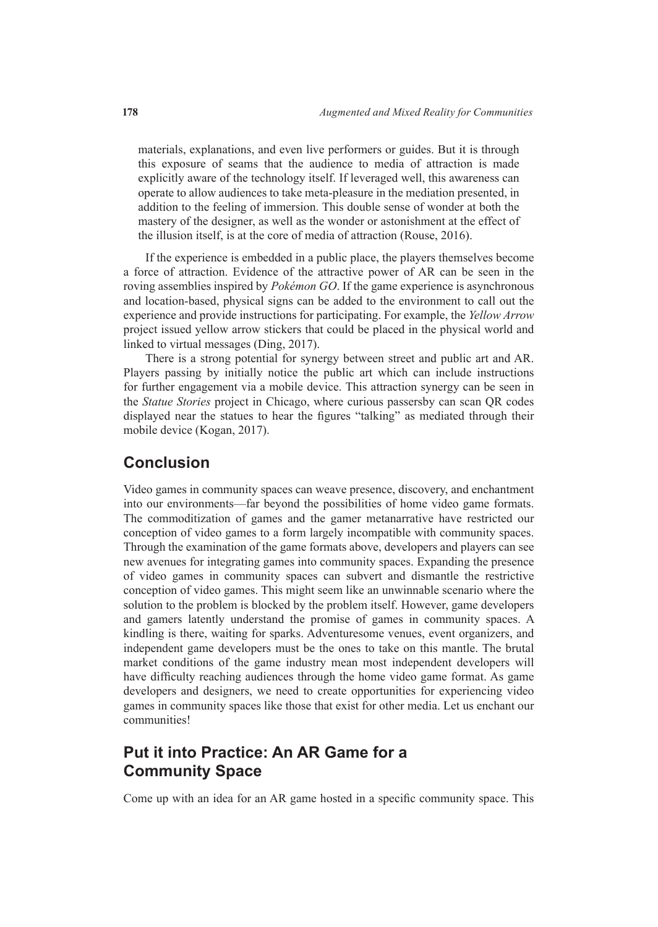materials, explanations, and even live performers or guides. But it is through this exposure of seams that the audience to media of attraction is made explicitly aware of the technology itself. If leveraged well, this awareness can operate to allow audiences to take meta-pleasure in the mediation presented, in addition to the feeling of immersion. This double sense of wonder at both the mastery of the designer, as well as the wonder or astonishment at the effect of the illusion itself, is at the core of media of attraction (Rouse, 2016).

If the experience is embedded in a public place, the players themselves become a force of attraction. Evidence of the attractive power of AR can be seen in the roving assemblies inspired by *Pokémon GO*. If the game experience is asynchronous and location-based, physical signs can be added to the environment to call out the experience and provide instructions for participating. For example, the *Yellow Arrow* project issued yellow arrow stickers that could be placed in the physical world and linked to virtual messages (Ding, 2017).

There is a strong potential for synergy between street and public art and AR. Players passing by initially notice the public art which can include instructions for further engagement via a mobile device. This attraction synergy can be seen in the *Statue Stories* project in Chicago, where curious passersby can scan QR codes displayed near the statues to hear the figures "talking" as mediated through their mobile device (Kogan, 2017).

# **Conclusion**

Video games in community spaces can weave presence, discovery, and enchantment into our environments—far beyond the possibilities of home video game formats. The commoditization of games and the gamer metanarrative have restricted our conception of video games to a form largely incompatible with community spaces. Through the examination of the game formats above, developers and players can see new avenues for integrating games into community spaces. Expanding the presence of video games in community spaces can subvert and dismantle the restrictive conception of video games. This might seem like an unwinnable scenario where the solution to the problem is blocked by the problem itself. However, game developers and gamers latently understand the promise of games in community spaces. A kindling is there, waiting for sparks. Adventuresome venues, event organizers, and independent game developers must be the ones to take on this mantle. The brutal market conditions of the game industry mean most independent developers will have difficulty reaching audiences through the home video game format. As game developers and designers, we need to create opportunities for experiencing video games in community spaces like those that exist for other media. Let us enchant our communities!

# **Put it into Practice: An AR Game for a Community Space**

Come up with an idea for an AR game hosted in a specific community space. This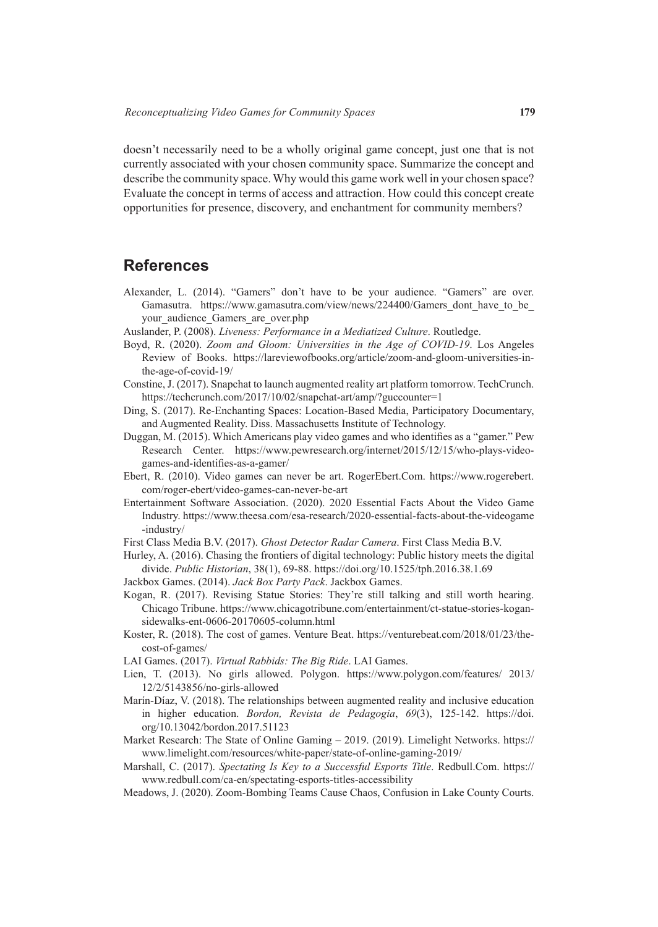doesn't necessarily need to be a wholly original game concept, just one that is not currently associated with your chosen community space. Summarize the concept and describe the community space. Why would this game work well in your chosen space? Evaluate the concept in terms of access and attraction. How could this concept create opportunities for presence, discovery, and enchantment for community members?

# **References**

- Alexander, L. (2014). "Gamers" don't have to be your audience. "Gamers" are over. Gamasutra. https://www.gamasutra.com/view/news/224400/Gamers\_dont\_have\_to\_be your\_audience\_Gamers\_are\_over.php
- Auslander, P. (2008). *Liveness: Performance in a Mediatized Culture*. Routledge.
- Boyd, R. (2020). *Zoom and Gloom: Universities in the Age of COVID-19*. Los Angeles Review of Books. https://lareviewofbooks.org/article/zoom-and-gloom-universities-inthe-age-of-covid-19/
- Constine, J. (2017). Snapchat to launch augmented reality art platform tomorrow. TechCrunch. https://techcrunch.com/2017/10/02/snapchat-art/amp/?guccounter=1
- Ding, S. (2017). Re-Enchanting Spaces: Location-Based Media, Participatory Documentary, and Augmented Reality. Diss. Massachusetts Institute of Technology.
- Duggan, M. (2015). Which Americans play video games and who identifies as a "gamer." Pew Research Center. https://www.pewresearch.org/internet/2015/12/15/who-plays-videogames-and-identifies-as-a-gamer/
- Ebert, R. (2010). Video games can never be art. RogerEbert.Com. https://www.rogerebert. com/roger-ebert/video-games-can-never-be-art
- Entertainment Software Association. (2020). 2020 Essential Facts About the Video Game Industry. https://www.theesa.com/esa-research/2020-essential-facts-about-the-videogame -industry/
- First Class Media B.V. (2017). *Ghost Detector Radar Camera*. First Class Media B.V.
- Hurley, A. (2016). Chasing the frontiers of digital technology: Public history meets the digital divide. *Public Historian*, 38(1), 69-88. https://doi.org/10.1525/tph.2016.38.1.69
- Jackbox Games. (2014). *Jack Box Party Pack*. Jackbox Games.
- Kogan, R. (2017). Revising Statue Stories: They're still talking and still worth hearing. Chicago Tribune. https://www.chicagotribune.com/entertainment/ct-statue-stories-kogansidewalks-ent-0606-20170605-column.html
- Koster, R. (2018). The cost of games. Venture Beat. https://venturebeat.com/2018/01/23/thecost-of-games/
- LAI Games. (2017). *Virtual Rabbids: The Big Ride*. LAI Games.
- Lien, T. (2013). No girls allowed. Polygon. https://www.polygon.com/features/ 2013/ 12/2/5143856/no-girls-allowed
- Marín-Díaz, V. (2018). The relationships between augmented reality and inclusive education in higher education. *Bordon, Revista de Pedagogia*, *69*(3), 125-142. https://doi. org/10.13042/bordon.2017.51123
- Market Research: The State of Online Gaming 2019. (2019). Limelight Networks. https:// www.limelight.com/resources/white-paper/state-of-online-gaming-2019/
- Marshall, C. (2017). *Spectating Is Key to a Successful Esports Title*. Redbull.Com. https:// www.redbull.com/ca-en/spectating-esports-titles-accessibility
- Meadows, J. (2020). Zoom-Bombing Teams Cause Chaos, Confusion in Lake County Courts.